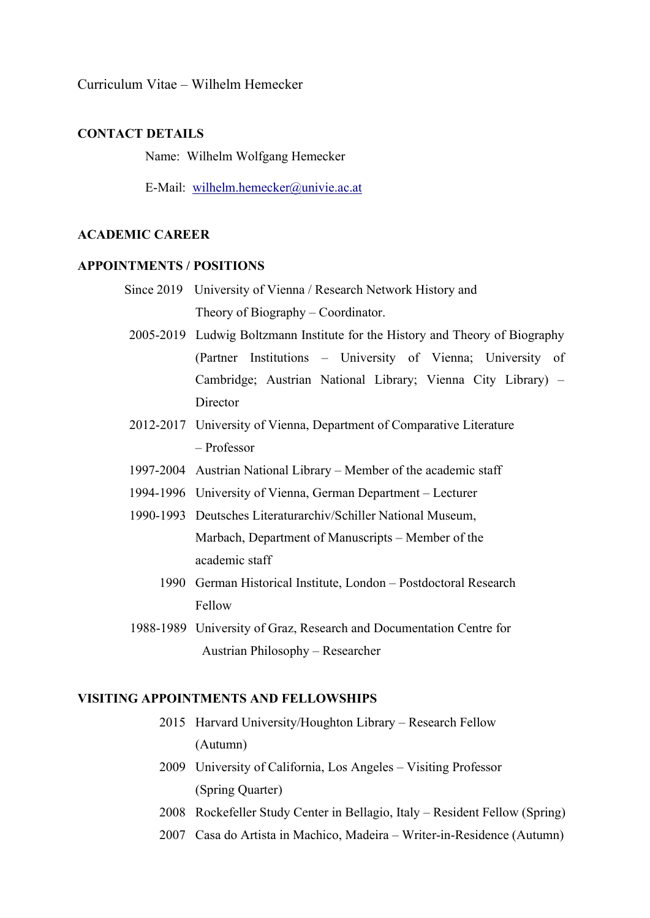Curriculum Vitae – Wilhelm Hemecker

## CONTACT DETAILS

Name: Wilhelm Wolfgang Hemecker

E-Mail: wilhelm.hemecker@univie.ac.at

## ACADEMIC CAREER

### APPOINTMENTS / POSITIONS

- Since 2019 University of Vienna / Research Network History and Theory of Biography – Coordinator.
- 2005-2019 Ludwig Boltzmann Institute for the History and Theory of Biography (Partner Institutions – University of Vienna; University of Cambridge; Austrian National Library; Vienna City Library) – **Director**
- 2012-2017 University of Vienna, Department of Comparative Literature – Professor
- 1997-2004 Austrian National Library Member of the academic staff
- 1994-1996 University of Vienna, German Department Lecturer
- 1990-1993 Deutsches Literaturarchiv/Schiller National Museum, Marbach, Department of Manuscripts – Member of the academic staff
	- 1990 German Historical Institute, London Postdoctoral Research Fellow
- 1988-1989 University of Graz, Research and Documentation Centre for Austrian Philosophy – Researcher

### VISITING APPOINTMENTS AND FELLOWSHIPS

- 2015 Harvard University/Houghton Library Research Fellow (Autumn)
- 2009 University of California, Los Angeles Visiting Professor (Spring Quarter)
- 2008 Rockefeller Study Center in Bellagio, Italy Resident Fellow (Spring)
- 2007 Casa do Artista in Machico, Madeira Writer-in-Residence (Autumn)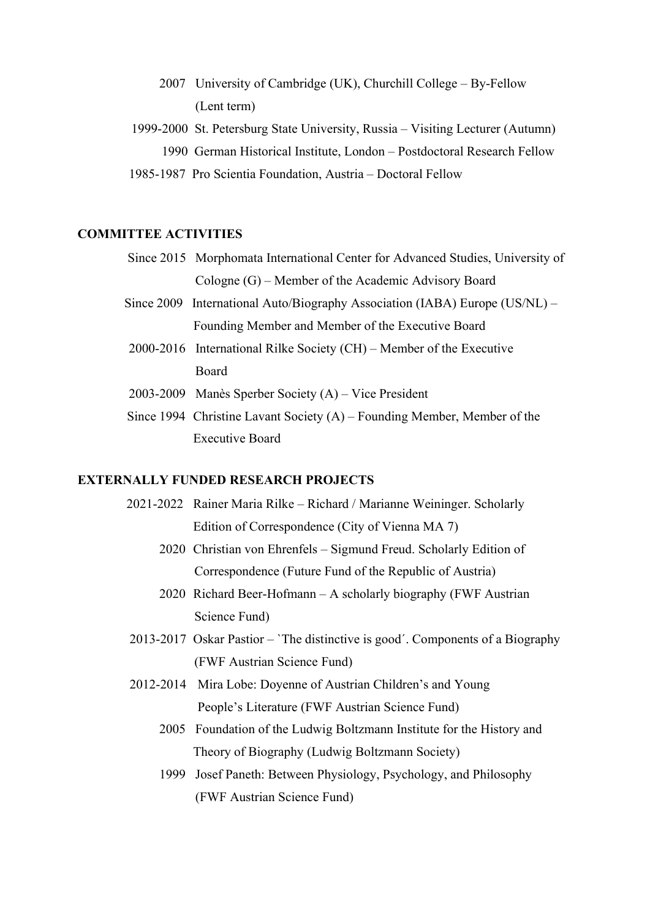- 2007 University of Cambridge (UK), Churchill College By-Fellow (Lent term)
- 1999-2000 St. Petersburg State University, Russia Visiting Lecturer (Autumn) 1990 German Historical Institute, London – Postdoctoral Research Fellow
- 1985-1987 Pro Scientia Foundation, Austria Doctoral Fellow

## COMMITTEE ACTIVITIES

- Since 2015 Morphomata International Center for Advanced Studies, University of Cologne (G) – Member of the Academic Advisory Board
- Since 2009 International Auto/Biography Association (IABA) Europe (US/NL) Founding Member and Member of the Executive Board
- 2000-2016 International Rilke Society (CH) Member of the Executive Board
- 2003-2009 Manès Sperber Society (A) Vice President
- Since 1994 Christine Lavant Society (A) Founding Member, Member of the Executive Board

### EXTERNALLY FUNDED RESEARCH PROJECTS

- 2021-2022 Rainer Maria Rilke Richard / Marianne Weininger. Scholarly Edition of Correspondence (City of Vienna MA 7)
	- 2020 Christian von Ehrenfels Sigmund Freud. Scholarly Edition of Correspondence (Future Fund of the Republic of Austria)
	- 2020 Richard Beer-Hofmann A scholarly biography (FWF Austrian Science Fund)
- 2013-2017 Oskar Pastior `The distinctive is good´. Components of a Biography (FWF Austrian Science Fund)
- 2012-2014 Mira Lobe: Doyenne of Austrian Children's and Young People's Literature (FWF Austrian Science Fund)
	- 2005 Foundation of the Ludwig Boltzmann Institute for the History and Theory of Biography (Ludwig Boltzmann Society)
	- 1999 Josef Paneth: Between Physiology, Psychology, and Philosophy (FWF Austrian Science Fund)